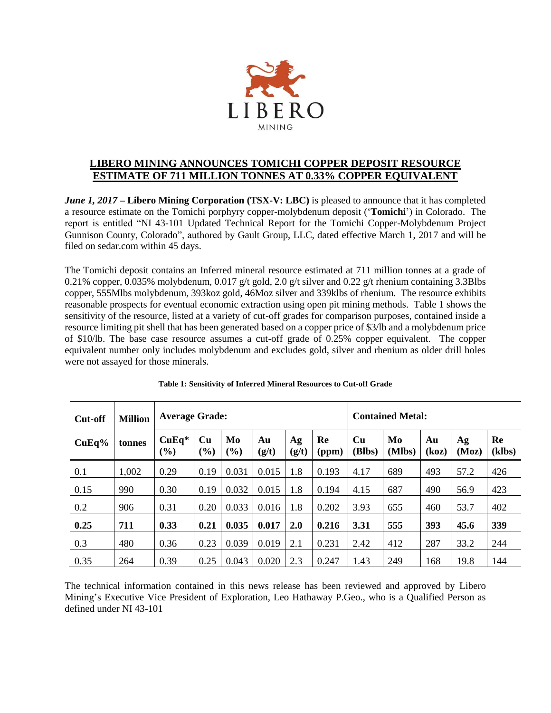

## **LIBERO MINING ANNOUNCES TOMICHI COPPER DEPOSIT RESOURCE ESTIMATE OF 711 MILLION TONNES AT 0.33% COPPER EQUIVALENT**

*June 1, 2017* **– Libero Mining Corporation (TSX-V: LBC)** is pleased to announce that it has completed a resource estimate on the Tomichi porphyry copper-molybdenum deposit ('**Tomichi**') in Colorado. The report is entitled "NI 43-101 Updated Technical Report for the Tomichi Copper-Molybdenum Project Gunnison County, Colorado", authored by Gault Group, LLC, dated effective March 1, 2017 and will be filed on sedar.com within 45 days.

The Tomichi deposit contains an Inferred mineral resource estimated at 711 million tonnes at a grade of 0.21% copper, 0.035% molybdenum, 0.017 g/t gold, 2.0 g/t silver and 0.22 g/t rhenium containing 3.3Blbs copper, 555Mlbs molybdenum, 393koz gold, 46Moz silver and 339klbs of rhenium. The resource exhibits reasonable prospects for eventual economic extraction using open pit mining methods. Table 1 shows the sensitivity of the resource, listed at a variety of cut-off grades for comparison purposes, contained inside a resource limiting pit shell that has been generated based on a copper price of \$3/lb and a molybdenum price of \$10/lb. The base case resource assumes a cut-off grade of 0.25% copper equivalent. The copper equivalent number only includes molybdenum and excludes gold, silver and rhenium as older drill holes were not assayed for those minerals.

| <b>Cut-off</b> | <b>Million</b> |                | <b>Average Grade:</b> |           |             |             |             |              | <b>Contained Metal:</b> |             |             |              |  |
|----------------|----------------|----------------|-----------------------|-----------|-------------|-------------|-------------|--------------|-------------------------|-------------|-------------|--------------|--|
| CuEq%          | tonnes         | $CuEq*$<br>(%) | Cu<br>(%)             | Mo<br>(%) | Au<br>(g/t) | Ag<br>(g/t) | Re<br>(ppm) | Cu<br>(Blbs) | Mo<br>(Mlbs)            | Au<br>(koz) | Ag<br>(Moz) | Re<br>(klbs) |  |
| 0.1            | 1,002          | 0.29           | 0.19                  | 0.031     | 0.015       | 1.8         | 0.193       | 4.17         | 689                     | 493         | 57.2        | 426          |  |
| 0.15           | 990            | 0.30           | 0.19                  | 0.032     | 0.015       | 1.8         | 0.194       | 4.15         | 687                     | 490         | 56.9        | 423          |  |
| 0.2            | 906            | 0.31           | 0.20                  | 0.033     | 0.016       | 1.8         | 0.202       | 3.93         | 655                     | 460         | 53.7        | 402          |  |
| 0.25           | 711            | 0.33           | 0.21                  | 0.035     | 0.017       | 2.0         | 0.216       | 3.31         | 555                     | 393         | 45.6        | 339          |  |
| 0.3            | 480            | 0.36           | 0.23                  | 0.039     | 0.019       | 2.1         | 0.231       | 2.42         | 412                     | 287         | 33.2        | 244          |  |
| 0.35           | 264            | 0.39           | 0.25                  | 0.043     | 0.020       | 2.3         | 0.247       | 1.43         | 249                     | 168         | 19.8        | 144          |  |

The technical information contained in this news release has been reviewed and approved by Libero Mining's Executive Vice President of Exploration, Leo Hathaway P.Geo., who is a Qualified Person as defined under NI 43-101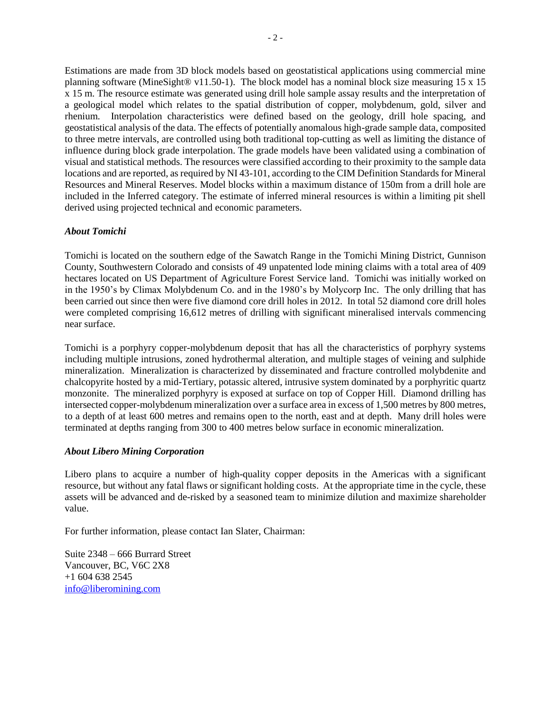Estimations are made from 3D block models based on geostatistical applications using commercial mine planning software (MineSight® v11.50-1). The block model has a nominal block size measuring 15 x 15 x 15 m. The resource estimate was generated using drill hole sample assay results and the interpretation of a geological model which relates to the spatial distribution of copper, molybdenum, gold, silver and rhenium. Interpolation characteristics were defined based on the geology, drill hole spacing, and geostatistical analysis of the data. The effects of potentially anomalous high-grade sample data, composited to three metre intervals, are controlled using both traditional top-cutting as well as limiting the distance of influence during block grade interpolation. The grade models have been validated using a combination of visual and statistical methods. The resources were classified according to their proximity to the sample data locations and are reported, as required by NI 43-101, according to the CIM Definition Standards for Mineral Resources and Mineral Reserves. Model blocks within a maximum distance of 150m from a drill hole are included in the Inferred category. The estimate of inferred mineral resources is within a limiting pit shell derived using projected technical and economic parameters.

## *About Tomichi*

Tomichi is located on the southern edge of the Sawatch Range in the Tomichi Mining District, Gunnison County, Southwestern Colorado and consists of 49 unpatented lode mining claims with a total area of 409 hectares located on US Department of Agriculture Forest Service land. Tomichi was initially worked on in the 1950's by Climax Molybdenum Co. and in the 1980's by Molycorp Inc. The only drilling that has been carried out since then were five diamond core drill holes in 2012. In total 52 diamond core drill holes were completed comprising 16,612 metres of drilling with significant mineralised intervals commencing near surface.

Tomichi is a porphyry copper-molybdenum deposit that has all the characteristics of porphyry systems including multiple intrusions, zoned hydrothermal alteration, and multiple stages of veining and sulphide mineralization. Mineralization is characterized by disseminated and fracture controlled molybdenite and chalcopyrite hosted by a mid-Tertiary, potassic altered, intrusive system dominated by a porphyritic quartz monzonite. The mineralized porphyry is exposed at surface on top of Copper Hill. Diamond drilling has intersected copper-molybdenum mineralization over a surface area in excess of 1,500 metres by 800 metres, to a depth of at least 600 metres and remains open to the north, east and at depth. Many drill holes were terminated at depths ranging from 300 to 400 metres below surface in economic mineralization.

## *About Libero Mining Corporation*

Libero plans to acquire a number of high-quality copper deposits in the Americas with a significant resource, but without any fatal flaws or significant holding costs. At the appropriate time in the cycle, these assets will be advanced and de-risked by a seasoned team to minimize dilution and maximize shareholder value.

For further information, please contact Ian Slater, Chairman:

Suite 2348 – 666 Burrard Street Vancouver, BC, V6C 2X8 +1 604 638 2545 [info@liberomining.com](mailto:info@liberomining.com)